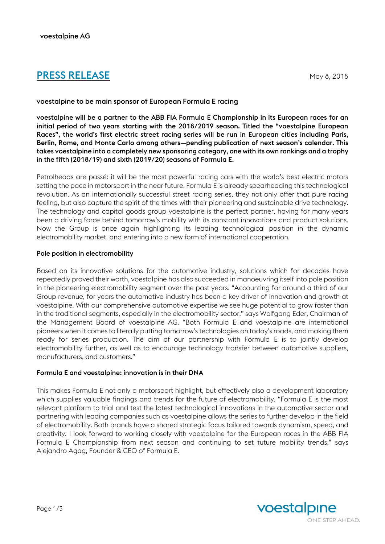# **PRESS RELEASE** May 8, 2018

## voestalpine to be main sponsor of European Formula E racing

voestalpine will be a partner to the ABB FIA Formula E Championship in its European races for an initial period of two years starting with the 2018/2019 season. Titled the "voestalpine European Races", the world's first electric street racing series will be run in European cities including Paris, Berlin, Rome, and Monte Carlo among others—pending publication of next season's calendar. This takes voestalpine into a completely new sponsoring category, one with its own rankings and a trophy in the fifth (2018/19) and sixth (2019/20) seasons of Formula E.

Petrolheads are passé: it will be the most powerful racing cars with the world's best electric motors setting the pace in motorsport in the near future. Formula E is already spearheading this technological revolution. As an internationally successful street racing series, they not only offer that pure racing feeling, but also capture the spirit of the times with their pioneering and sustainable drive technology. The technology and capital goods group voestalpine is the perfect partner, having for many years been a driving force behind tomorrow's mobility with its constant innovations and product solutions. Now the Group is once again highlighting its leading technological position in the dynamic electromobility market, and entering into a new form of international cooperation.

## Pole position in electromobility

Based on its innovative solutions for the automotive industry, solutions which for decades have repeatedly proved their worth, voestalpine has also succeeded in manoeuvring itself into pole position in the pioneering electromobility segment over the past years. "Accounting for around a third of our Group revenue, for years the automotive industry has been a key driver of innovation and growth at voestalpine. With our comprehensive automotive expertise we see huge potential to grow faster than in the traditional segments, especially in the electromobility sector," says Wolfgang Eder, Chairman of the Management Board of voestalpine AG. "Both Formula E and voestalpine are international pioneers when it comes to literally putting tomorrow's technologies on today's roads, and making them ready for series production. The aim of our partnership with Formula E is to jointly develop electromobility further, as well as to encourage technology transfer between automotive suppliers, manufacturers, and customers."

## Formula E and voestalpine: innovation is in their DNA

This makes Formula E not only a motorsport highlight, but effectively also a development laboratory which supplies valuable findings and trends for the future of electromobility. "Formula E is the most relevant platform to trial and test the latest technological innovations in the automotive sector and partnering with leading companies such as voestalpine allows the series to further develop in the field of electromobility. Both brands have a shared strategic focus tailored towards dynamism, speed, and creativity. I look forward to working closely with voestalpine for the European races in the ABB FIA Formula E Championship from next season and continuing to set future mobility trends," says Alejandro Agag, Founder & CEO of Formula E.

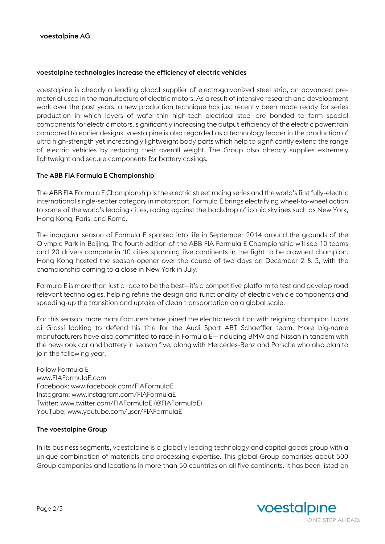#### voestalpine technologies increase the efficiency of electric vehicles

voestalpine is already a leading global supplier of electrogalvanized steel strip, an advanced prematerial used in the manufacture of electric motors. As a result of intensive research and development work over the past years, a new production technique has just recently been made ready for series production in which layers of wafer-thin high-tech electrical steel are bonded to form special components for electric motors, significantly increasing the output efficiency of the electric powertrain compared to earlier designs. voestalpine is also regarded as a technology leader in the production of ultra high-strength yet increasingly lightweight body parts which help to significantly extend the range of electric vehicles by reducing their overall weight. The Group also already supplies extremely lightweight and secure components for battery casings.

### The ABB FIA Formula E Championship

The ABB FIA Formula E Championship is the electric street racing series and the world's first fully-electric international single-seater category in motorsport. Formula E brings electrifying wheel-to-wheel action to some of the world's leading cities, racing against the backdrop of iconic skylines such as New York, Hong Kong, Paris, and Rome.

The inaugural season of Formula E sparked into life in September 2014 around the grounds of the Olympic Park in Beijing. The fourth edition of the ABB FIA Formula E Championship will see 10 teams and 20 drivers compete in 10 cities spanning five continents in the fight to be crowned champion. Hong Kong hosted the season-opener over the course of two days on December 2 & 3, with the championship coming to a close in New York in July.

Formula E is more than just a race to be the best—it's a competitive platform to test and develop road relevant technologies, helping refine the design and functionality of electric vehicle components and speeding-up the transition and uptake of clean transportation on a global scale.

For this season, more manufacturers have joined the electric revolution with reigning champion Lucas di Grassi looking to defend his title for the Audi Sport ABT Schaeffler team. More big-name manufacturers have also committed to race in Formula E—including BMW and Nissan in tandem with the new-look car and battery in season five, along with Mercedes-Benz and Porsche who also plan to join the following year.

Follow Formula E www.FIAFormulaE.com Facebook: www.facebook.com/FIAFormulaE Instagram: www.instagram.com/FIAFormulaE Twitter: www.twitter.com/FIAFormulaE (@FIAFormulaE) YouTube: www.youtube.com/user/FIAFormulaE

#### The voestalpine Group

In its business segments, voestalpine is a globally leading technology and capital goods group with a unique combination of materials and processing expertise. This global Group comprises about 500 Group companies and locations in more than 50 countries on all five continents. It has been listed on